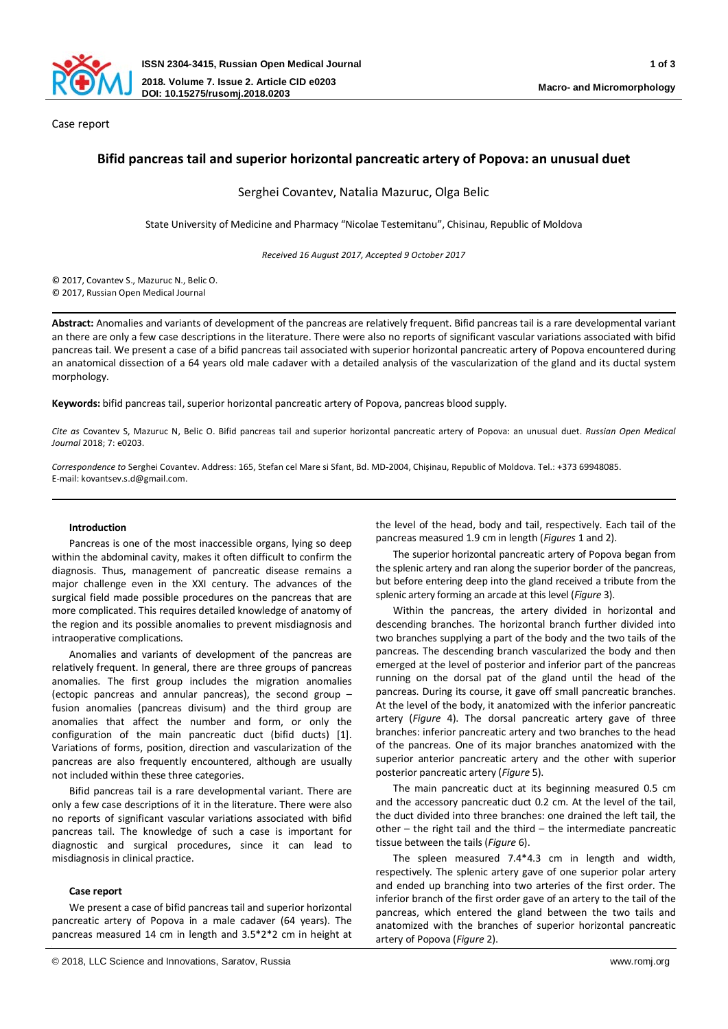

Case report

# **Bifid pancreas tail and superior horizontal pancreatic artery of Popova: an unusual duet**

Serghei Covantev, Natalia Mazuruc, Olga Belic

State University of Medicine and Pharmacy "Nicolae Testemitanu", Chisinau, Republic of Moldova

*Received 16 August 2017, Accepted 9 October 2017*

© 2017, Covantev S., Mazuruc N., Belic O. © 2017, Russian Open Medical Journal

**Abstract:** Anomalies and variants of development of the pancreas are relatively frequent. Bifid pancreas tail is a rare developmental variant an there are only a few case descriptions in the literature. There were also no reports of significant vascular variations associated with bifid pancreas tail. We present a case of a bifid pancreas tail associated with superior horizontal pancreatic artery of Popova encountered during an anatomical dissection of a 64 years old male cadaver with a detailed analysis of the vascularization of the gland and its ductal system morphology.

**Keywords:** bifid pancreas tail, superior horizontal pancreatic artery of Popova, pancreas blood supply.

*Cite as* Covantev S, Mazuruc N, Belic O. Bifid pancreas tail and superior horizontal pancreatic artery of Popova: an unusual duet. *Russian Open Medical Journal* 2018; 7: e0203.

*Correspondence to* Serghei Covantev. Address: 165, Stefan cel Mare si Sfant, Bd. MD-2004, Chişinau, Republic of Moldova. Tel.: +373 69948085. E-mail: kovantsev.s.d@gmail.com.

#### **Introduction**

Pancreas is one of the most inaccessible organs, lying so deep within the abdominal cavity, makes it often difficult to confirm the diagnosis. Thus, management of pancreatic disease remains a major challenge even in the XXI century. The advances of the surgical field made possible procedures on the pancreas that are more complicated. This requires detailed knowledge of anatomy of the region and its possible anomalies to prevent misdiagnosis and intraoperative complications.

Anomalies and variants of development of the pancreas are relatively frequent. In general, there are three groups of pancreas anomalies. The first group includes the migration anomalies (ectopic pancreas and annular pancreas), the second group – fusion anomalies (pancreas divisum) and the third group are anomalies that affect the number and form, or only the configuration of the main pancreatic duct (bifid ducts) [1]. Variations of forms, position, direction and vascularization of the pancreas are also frequently encountered, although are usually not included within these three categories.

Bifid pancreas tail is a rare developmental variant. There are only a few case descriptions of it in the literature. There were also no reports of significant vascular variations associated with bifid pancreas tail. The knowledge of such a case is important for diagnostic and surgical procedures, since it can lead to misdiagnosis in clinical practice.

## **Case report**

We present a case of bifid pancreas tail and superior horizontal pancreatic artery of Popova in a male cadaver (64 years). The pancreas measured 14 cm in length and 3.5\*2\*2 cm in height at

the level of the head, body and tail, respectively. Each tail of the pancreas measured 1.9 cm in length (*Figures* 1 and 2).

The superior horizontal pancreatic artery of Popova began from the splenic artery and ran along the superior border of the pancreas, but before entering deep into the gland received a tribute from the splenic artery forming an arcade at this level (*Figure* 3).

Within the pancreas, the artery divided in horizontal and descending branches. The horizontal branch further divided into two branches supplying a part of the body and the two tails of the pancreas. The descending branch vascularized the body and then emerged at the level of posterior and inferior part of the pancreas running on the dorsal pat of the gland until the head of the pancreas. During its course, it gave off small pancreatic branches. At the level of the body, it anatomized with the inferior pancreatic artery (*Figure* 4). The dorsal pancreatic artery gave of three branches: inferior pancreatic artery and two branches to the head of the pancreas. One of its major branches anatomized with the superior anterior pancreatic artery and the other with superior posterior pancreatic artery (*Figure* 5).

The main pancreatic duct at its beginning measured 0.5 cm and the accessory pancreatic duct 0.2 cm. At the level of the tail, the duct divided into three branches: one drained the left tail, the  $other - the right tail and the third - the intermediate pancreatic$ tissue between the tails (*Figure* 6).

The spleen measured 7.4\*4.3 cm in length and width, respectively. The splenic artery gave of one superior polar artery and ended up branching into two arteries of the first order. The inferior branch of the first order gave of an artery to the tail of the pancreas, which entered the gland between the two tails and anatomized with the branches of superior horizontal pancreatic artery of Popova (*Figure* 2).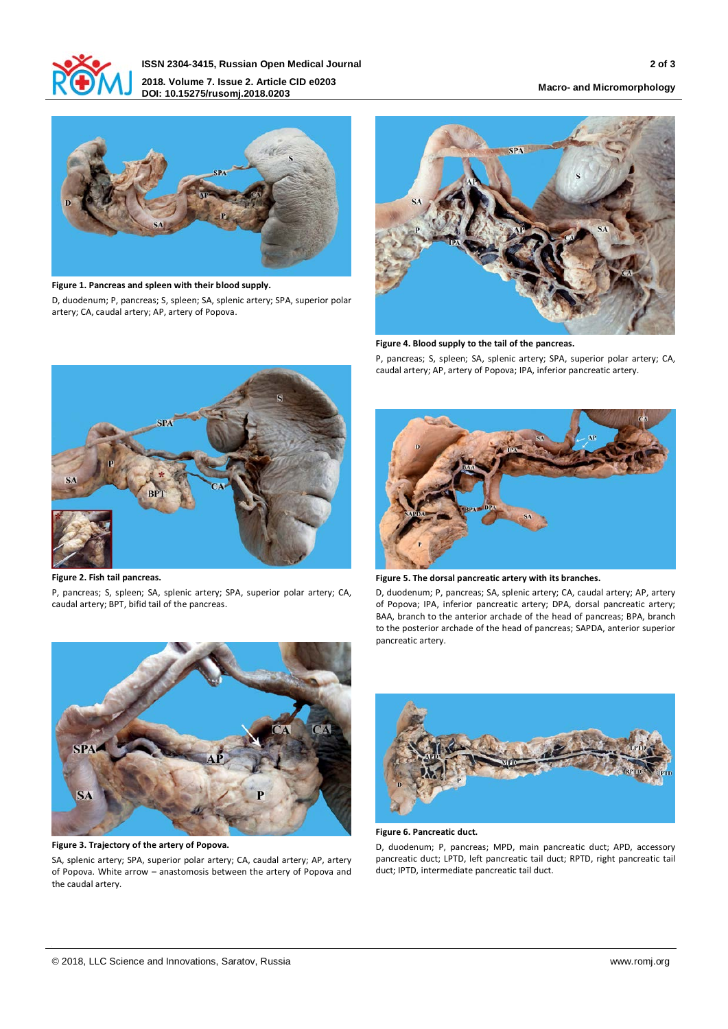

**ISSN 2304-3415, Russian Open Medical Journal 2 of 3 2018. Volume 7. Issue 2. Article CID e0203 DOI: 10.15275/rusomj.2018.0203 Macro- and Micromorphology**



**Figure 1. Pancreas and spleen with their blood supply.** D, duodenum; P, pancreas; S, spleen; SA, splenic artery; SPA, superior polar artery; CA, caudal artery; AP, artery of Popova.



**Figure 4. Blood supply to the tail of the pancreas.**

P, pancreas; S, spleen; SA, splenic artery; SPA, superior polar artery; CA, caudal artery; AP, artery of Popova; IPA, inferior pancreatic artery.



**Figure 2. Fish tail pancreas.**

P, pancreas; S, spleen; SA, splenic artery; SPA, superior polar artery; CA, caudal artery; BPT, bifid tail of the pancreas.



**Figure 5. The dorsal pancreatic artery with its branches.**

D, duodenum; P, pancreas; SA, splenic artery; CA, caudal artery; AP, artery of Popova; IPA, inferior pancreatic artery; DPA, dorsal pancreatic artery; BAA, branch to the anterior archade of the head of pancreas; BPA, branch to the posterior archade of the head of pancreas; SAPDA, anterior superior pancreatic artery.



**Figure 3. Trajectory of the artery of Popova.**

SA, splenic artery; SPA, superior polar artery; CA, caudal artery; AP, artery of Popova. White arrow – anastomosis between the artery of Popova and the caudal artery.



**Figure 6. Pancreatic duct.**

D, duodenum; P, pancreas; MPD, main pancreatic duct; APD, accessory pancreatic duct; LPTD, left pancreatic tail duct; RPTD, right pancreatic tail duct; IPTD, intermediate pancreatic tail duct.